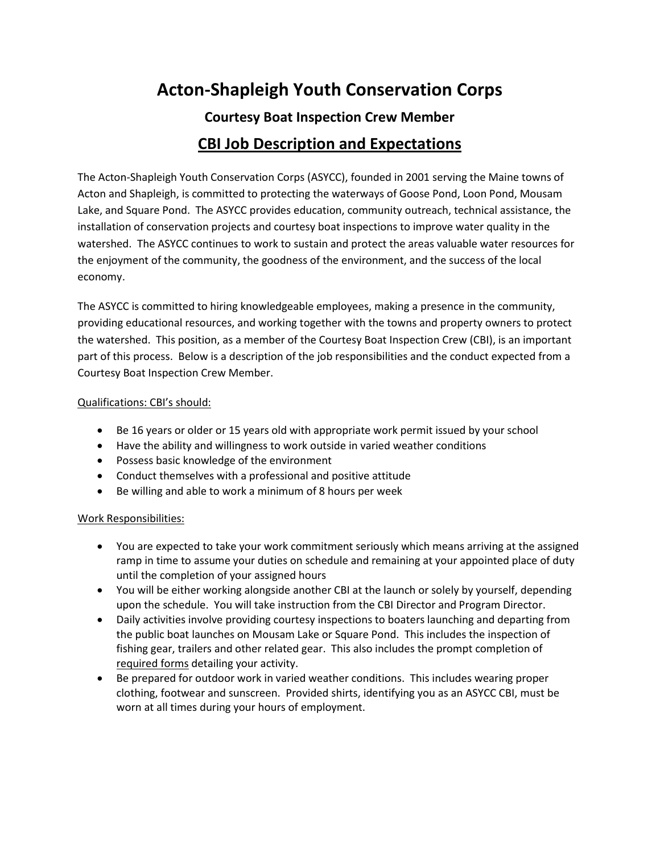# **Acton-Shapleigh Youth Conservation Corps**

# **Courtesy Boat Inspection Crew Member CBI Job Description and Expectations**

The Acton-Shapleigh Youth Conservation Corps (ASYCC), founded in 2001 serving the Maine towns of Acton and Shapleigh, is committed to protecting the waterways of Goose Pond, Loon Pond, Mousam Lake, and Square Pond. The ASYCC provides education, community outreach, technical assistance, the installation of conservation projects and courtesy boat inspections to improve water quality in the watershed. The ASYCC continues to work to sustain and protect the areas valuable water resources for the enjoyment of the community, the goodness of the environment, and the success of the local economy.

The ASYCC is committed to hiring knowledgeable employees, making a presence in the community, providing educational resources, and working together with the towns and property owners to protect the watershed. This position, as a member of the Courtesy Boat Inspection Crew (CBI), is an important part of this process. Below is a description of the job responsibilities and the conduct expected from a Courtesy Boat Inspection Crew Member.

#### Qualifications: CBI's should:

- Be 16 years or older or 15 years old with appropriate work permit issued by your school
- Have the ability and willingness to work outside in varied weather conditions
- Possess basic knowledge of the environment
- Conduct themselves with a professional and positive attitude
- Be willing and able to work a minimum of 8 hours per week

#### Work Responsibilities:

- You are expected to take your work commitment seriously which means arriving at the assigned ramp in time to assume your duties on schedule and remaining at your appointed place of duty until the completion of your assigned hours
- You will be either working alongside another CBI at the launch or solely by yourself, depending upon the schedule. You will take instruction from the CBI Director and Program Director.
- Daily activities involve providing courtesy inspections to boaters launching and departing from the public boat launches on Mousam Lake or Square Pond. This includes the inspection of fishing gear, trailers and other related gear. This also includes the prompt completion of required forms detailing your activity.
- Be prepared for outdoor work in varied weather conditions. This includes wearing proper clothing, footwear and sunscreen. Provided shirts, identifying you as an ASYCC CBI, must be worn at all times during your hours of employment.